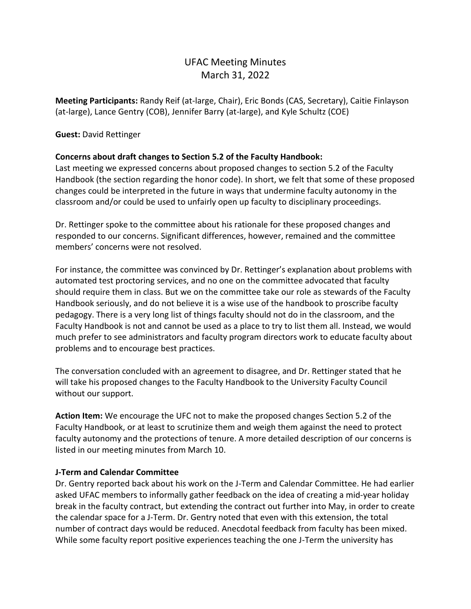# UFAC Meeting Minutes March 31, 2022

**Meeting Participants:** Randy Reif (at-large, Chair), Eric Bonds (CAS, Secretary), Caitie Finlayson (at-large), Lance Gentry (COB), Jennifer Barry (at-large), and Kyle Schultz (COE)

### **Guest:** David Rettinger

## **Concerns about draft changes to Section 5.2 of the Faculty Handbook:**

Last meeting we expressed concerns about proposed changes to section 5.2 of the Faculty Handbook (the section regarding the honor code). In short, we felt that some of these proposed changes could be interpreted in the future in ways that undermine faculty autonomy in the classroom and/or could be used to unfairly open up faculty to disciplinary proceedings.

Dr. Rettinger spoke to the committee about his rationale for these proposed changes and responded to our concerns. Significant differences, however, remained and the committee members' concerns were not resolved.

For instance, the committee was convinced by Dr. Rettinger's explanation about problems with automated test proctoring services, and no one on the committee advocated that faculty should require them in class. But we on the committee take our role as stewards of the Faculty Handbook seriously, and do not believe it is a wise use of the handbook to proscribe faculty pedagogy. There is a very long list of things faculty should not do in the classroom, and the Faculty Handbook is not and cannot be used as a place to try to list them all. Instead, we would much prefer to see administrators and faculty program directors work to educate faculty about problems and to encourage best practices.

The conversation concluded with an agreement to disagree, and Dr. Rettinger stated that he will take his proposed changes to the Faculty Handbook to the University Faculty Council without our support.

**Action Item:** We encourage the UFC not to make the proposed changes Section 5.2 of the Faculty Handbook, or at least to scrutinize them and weigh them against the need to protect faculty autonomy and the protections of tenure. A more detailed description of our concerns is listed in our meeting minutes from March 10.

### **J-Term and Calendar Committee**

Dr. Gentry reported back about his work on the J-Term and Calendar Committee. He had earlier asked UFAC members to informally gather feedback on the idea of creating a mid-year holiday break in the faculty contract, but extending the contract out further into May, in order to create the calendar space for a J-Term. Dr. Gentry noted that even with this extension, the total number of contract days would be reduced. Anecdotal feedback from faculty has been mixed. While some faculty report positive experiences teaching the one J-Term the university has